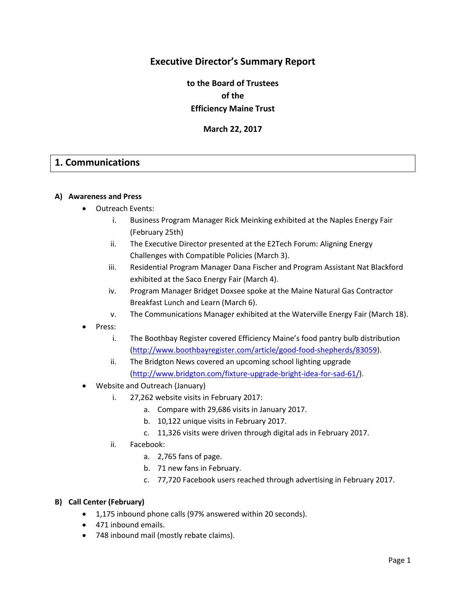## **Executive Director's Summary Report**

**to the Board of Trustees of the Efficiency Maine Trust**

**March 22, 2017**

## **1. Communications**

#### **A) Awareness and Press**

- Outreach Events:
	- i. Business Program Manager Rick Meinking exhibited at the Naples Energy Fair (February 25th)
	- ii. The Executive Director presented at the E2Tech Forum: Aligning Energy Challenges with Compatible Policies (March 3).
	- iii. Residential Program Manager Dana Fischer and Program Assistant Nat Blackford exhibited at the Saco Energy Fair (March 4).
	- iv. Program Manager Bridget Doxsee spoke at the Maine Natural Gas Contractor Breakfast Lunch and Learn (March 6).
	- v. The Communications Manager exhibited at the Waterville Energy Fair (March 18).
- Press:
	- i. The Boothbay Register covered Efficiency Maine's food pantry bulb distribution [\(http://www.boothbayregister.com/article/good-food-shepherds/83059\)](http://www.boothbayregister.com/article/good-food-shepherds/83059).
	- ii. The Bridgton News covered an upcoming school lighting upgrade [\(http://www.bridgton.com/fixture-upgrade-bright-idea-for-sad-61/\)](http://www.bridgton.com/fixture-upgrade-bright-idea-for-sad-61/).
- Website and Outreach (January)
	- i. 27,262 website visits in February 2017:
		- a. Compare with 29,686 visits in January 2017.
		- b. 10,122 unique visits in February 2017.
		- c. 11,326 visits were driven through digital ads in February 2017.
	- ii. Facebook:
		- a. 2,765 fans of page.
		- b. 71 new fans in February.
		- c. 77,720 Facebook users reached through advertising in February 2017.

#### **B) Call Center (February)**

- 1,175 inbound phone calls (97% answered within 20 seconds).
- 471 inbound emails.
- 748 inbound mail (mostly rebate claims).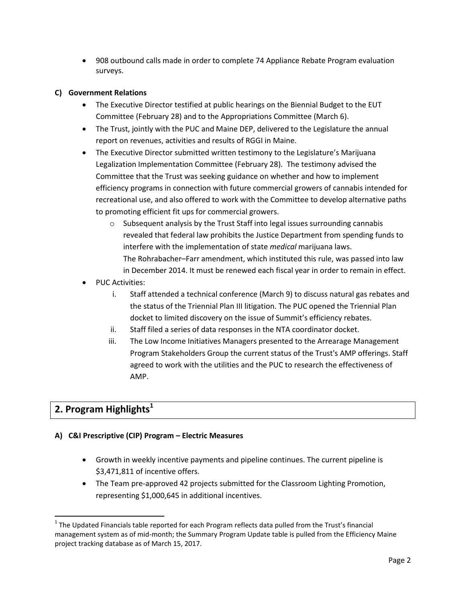908 outbound calls made in order to complete 74 Appliance Rebate Program evaluation surveys.

## **C) Government Relations**

- The Executive Director testified at public hearings on the Biennial Budget to the EUT Committee (February 28) and to the Appropriations Committee (March 6).
- The Trust, jointly with the PUC and Maine DEP, delivered to the Legislature the annual report on revenues, activities and results of RGGI in Maine.
- The Executive Director submitted written testimony to the Legislature's Marijuana Legalization Implementation Committee (February 28). The testimony advised the Committee that the Trust was seeking guidance on whether and how to implement efficiency programs in connection with future commercial growers of cannabis intended for recreational use, and also offered to work with the Committee to develop alternative paths to promoting efficient fit ups for commercial growers.
	- $\circ$  Subsequent analysis by the Trust Staff into legal issues surrounding cannabis revealed that federal law prohibits the Justice Department from spending funds to interfere with the implementation of state *medical* marijuana laws. The Rohrabacher–Farr amendment, which instituted this rule, was passed into law in December 2014. It must be renewed each fiscal year in order to remain in effect.
- PUC Activities:
	- i. Staff attended a technical conference (March 9) to discuss natural gas rebates and the status of the Triennial Plan III litigation. The PUC opened the Triennial Plan docket to limited discovery on the issue of Summit's efficiency rebates.
	- ii. Staff filed a series of data responses in the NTA coordinator docket.
	- iii. The Low Income Initiatives Managers presented to the Arrearage Management Program Stakeholders Group the current status of the Trust's AMP offerings. Staff agreed to work with the utilities and the PUC to research the effectiveness of AMP.

# **2. Program Highlights<sup>1</sup>**

## **A) C&I Prescriptive (CIP) Program – Electric Measures**

- Growth in weekly incentive payments and pipeline continues. The current pipeline is \$3,471,811 of incentive offers.
- The Team pre-approved 42 projects submitted for the Classroom Lighting Promotion, representing \$1,000,645 in additional incentives.

 $\overline{\phantom{a}}$  $1$  The Updated Financials table reported for each Program reflects data pulled from the Trust's financial management system as of mid-month; the Summary Program Update table is pulled from the Efficiency Maine project tracking database as of March 15, 2017.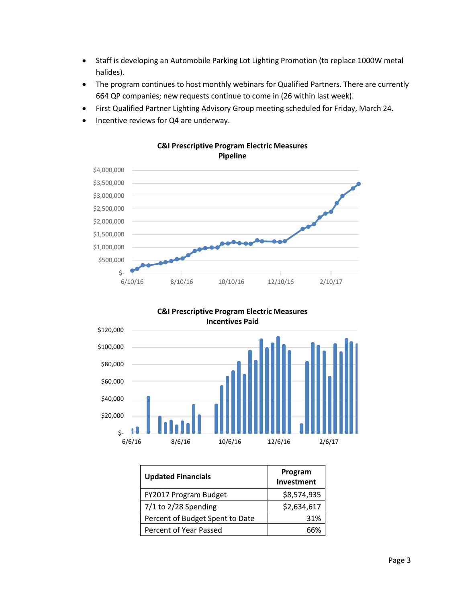- Staff is developing an Automobile Parking Lot Lighting Promotion (to replace 1000W metal halides).
- The program continues to host monthly webinars for Qualified Partners. There are currently 664 QP companies; new requests continue to come in (26 within last week).
- First Qualified Partner Lighting Advisory Group meeting scheduled for Friday, March 24.
- Incentive reviews for Q4 are underway.



**C&I Prescriptive Program Electric Measures** 



**Updated Financials Program Investment**  $FY2017 Program Budget$  \$8,574,935 7/1 to 2/28 Spending  $\left| \right|$  \$2,634,617 Percent of Budget Spent to Date | 31% Percent of Year Passed and the control of 1980 and 1980 and 1980 and 1980 and 1980 and 1980 and 1980 and 1980 and 19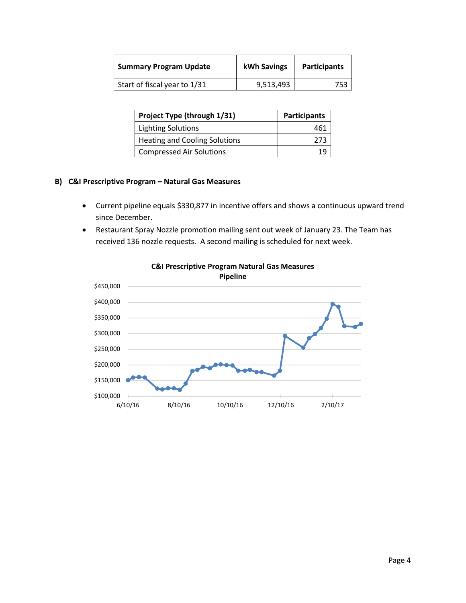| <b>Summary Program Update</b> | kWh Savings | <b>Participants</b> |
|-------------------------------|-------------|---------------------|
| Start of fiscal year to 1/31  | 9,513,493   | 753                 |

| Project Type (through 1/31)          | <b>Participants</b> |
|--------------------------------------|---------------------|
| <b>Lighting Solutions</b>            | 461                 |
| <b>Heating and Cooling Solutions</b> | 273                 |
| <b>Compressed Air Solutions</b>      |                     |

#### **B) C&I Prescriptive Program – Natural Gas Measures**

- Current pipeline equals \$330,877 in incentive offers and shows a continuous upward trend since December.
- Restaurant Spray Nozzle promotion mailing sent out week of January 23. The Team has received 136 nozzle requests. A second mailing is scheduled for next week.



# **C&I Prescriptive Program Natural Gas Measures**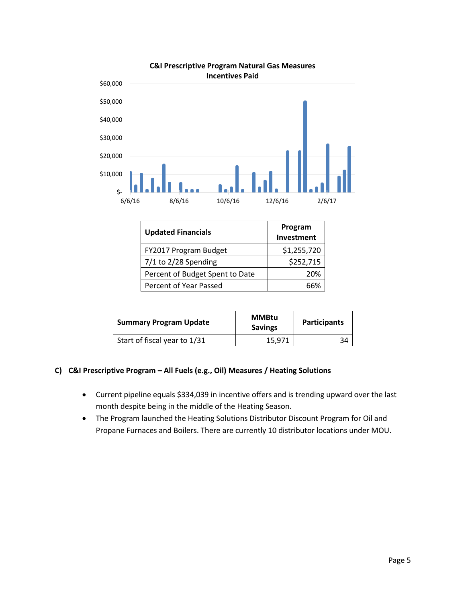



| <b>Updated Financials</b>       | Program<br>Investment |
|---------------------------------|-----------------------|
| FY2017 Program Budget           | \$1,255,720           |
| $7/1$ to $2/28$ Spending        | \$252,715             |
| Percent of Budget Spent to Date | 20%                   |
| Percent of Year Passed          | 66%                   |

| <b>Summary Program Update</b> | <b>MMBtu</b><br><b>Savings</b> | <b>Participants</b> |
|-------------------------------|--------------------------------|---------------------|
| Start of fiscal year to 1/31  | 15.971                         | 34                  |

#### **C) C&I Prescriptive Program – All Fuels (e.g., Oil) Measures / Heating Solutions**

- Current pipeline equals \$334,039 in incentive offers and is trending upward over the last month despite being in the middle of the Heating Season.
- The Program launched the Heating Solutions Distributor Discount Program for Oil and Propane Furnaces and Boilers. There are currently 10 distributor locations under MOU.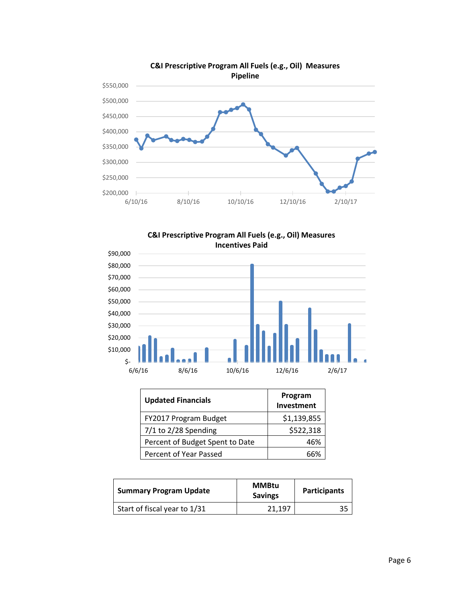





| <b>Updated Financials</b>       | Program<br>Investment |
|---------------------------------|-----------------------|
| FY2017 Program Budget           | \$1,139,855           |
| $7/1$ to $2/28$ Spending        | \$522,318             |
| Percent of Budget Spent to Date | 46%                   |
| Percent of Year Passed          |                       |

| <b>Summary Program Update</b> | <b>MMBtu</b><br><b>Savings</b> | Participants |
|-------------------------------|--------------------------------|--------------|
| Start of fiscal year to 1/31  | 21,197                         |              |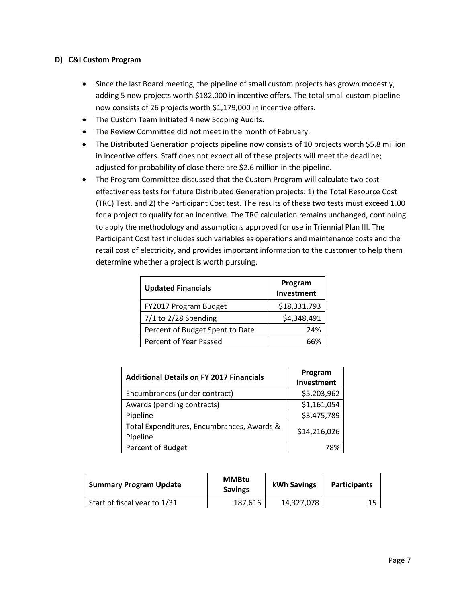#### **D) C&I Custom Program**

- Since the last Board meeting, the pipeline of small custom projects has grown modestly, adding 5 new projects worth \$182,000 in incentive offers. The total small custom pipeline now consists of 26 projects worth \$1,179,000 in incentive offers.
- The Custom Team initiated 4 new Scoping Audits.
- The Review Committee did not meet in the month of February.
- The Distributed Generation projects pipeline now consists of 10 projects worth \$5.8 million in incentive offers. Staff does not expect all of these projects will meet the deadline; adjusted for probability of close there are \$2.6 million in the pipeline.
- The Program Committee discussed that the Custom Program will calculate two costeffectiveness tests for future Distributed Generation projects: 1) the Total Resource Cost (TRC) Test, and 2) the Participant Cost test. The results of these two tests must exceed 1.00 for a project to qualify for an incentive. The TRC calculation remains unchanged, continuing to apply the methodology and assumptions approved for use in Triennial Plan III. The Participant Cost test includes such variables as operations and maintenance costs and the retail cost of electricity, and provides important information to the customer to help them determine whether a project is worth pursuing.

| <b>Updated Financials</b>       | Program<br>Investment |
|---------------------------------|-----------------------|
| FY2017 Program Budget           | \$18,331,793          |
| $7/1$ to 2/28 Spending          | \$4,348,491           |
| Percent of Budget Spent to Date | 24%                   |
| Percent of Year Passed          |                       |

| <b>Additional Details on FY 2017 Financials</b>        | Program<br>Investment |
|--------------------------------------------------------|-----------------------|
| Encumbrances (under contract)                          | \$5,203,962           |
| Awards (pending contracts)                             | \$1,161,054           |
| Pipeline                                               | \$3,475,789           |
| Total Expenditures, Encumbrances, Awards &<br>Pipeline | \$14,216,026          |
| Percent of Budget                                      | 78%                   |

| <b>Summary Program Update</b> | <b>MMBtu</b><br><b>Savings</b> | kWh Savings | <b>Participants</b> |
|-------------------------------|--------------------------------|-------------|---------------------|
| Start of fiscal year to 1/31  | 187,616                        | 14,327,078  | 1 C                 |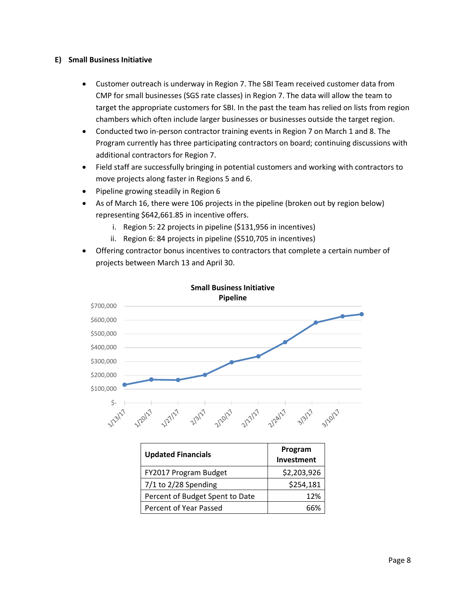#### **E) Small Business Initiative**

- Customer outreach is underway in Region 7. The SBI Team received customer data from CMP for small businesses (SGS rate classes) in Region 7. The data will allow the team to target the appropriate customers for SBI. In the past the team has relied on lists from region chambers which often include larger businesses or businesses outside the target region.
- Conducted two in-person contractor training events in Region 7 on March 1 and 8. The Program currently has three participating contractors on board; continuing discussions with additional contractors for Region 7.
- Field staff are successfully bringing in potential customers and working with contractors to move projects along faster in Regions 5 and 6.
- Pipeline growing steadily in Region 6
- As of March 16, there were 106 projects in the pipeline (broken out by region below) representing \$642,661.85 in incentive offers.
	- i. Region 5: 22 projects in pipeline (\$131,956 in incentives)
	- ii. Region 6: 84 projects in pipeline (\$510,705 in incentives)
- Offering contractor bonus incentives to contractors that complete a certain number of projects between March 13 and April 30.



| <b>Updated Financials</b>       | Program<br>Investment |
|---------------------------------|-----------------------|
| FY2017 Program Budget           | \$2,203,926           |
| $7/1$ to $2/28$ Spending        | \$254,181             |
| Percent of Budget Spent to Date | 12%                   |
| Percent of Year Passed          |                       |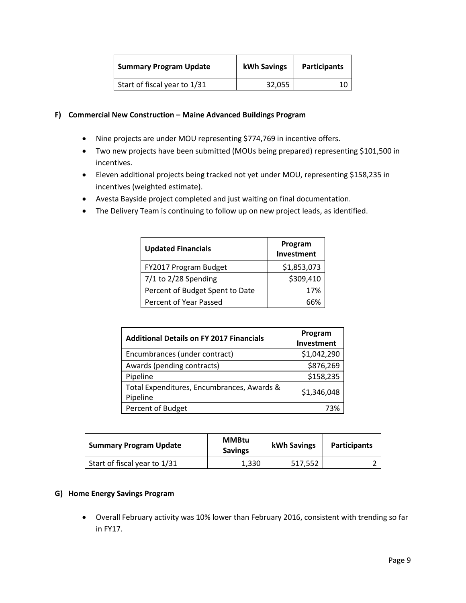| <b>Summary Program Update</b> | <b>kWh Savings</b> | <b>Participants</b> |
|-------------------------------|--------------------|---------------------|
| Start of fiscal year to 1/31  | 32,055             |                     |

#### **F) Commercial New Construction – Maine Advanced Buildings Program**

- Nine projects are under MOU representing \$774,769 in incentive offers.
- Two new projects have been submitted (MOUs being prepared) representing \$101,500 in incentives.
- Eleven additional projects being tracked not yet under MOU, representing \$158,235 in incentives (weighted estimate).
- Avesta Bayside project completed and just waiting on final documentation.
- The Delivery Team is continuing to follow up on new project leads, as identified.

| <b>Updated Financials</b>       | Program<br>Investment |
|---------------------------------|-----------------------|
| FY2017 Program Budget           | \$1,853,073           |
| $7/1$ to $2/28$ Spending        | \$309,410             |
| Percent of Budget Spent to Date | 17%                   |
| Percent of Year Passed          |                       |

| <b>Additional Details on FY 2017 Financials</b>        | Program<br>Investment |
|--------------------------------------------------------|-----------------------|
| Encumbrances (under contract)                          | \$1,042,290           |
| Awards (pending contracts)                             | \$876,269             |
| Pipeline                                               | \$158,235             |
| Total Expenditures, Encumbrances, Awards &<br>Pipeline | \$1,346,048           |
| Percent of Budget                                      | 73%                   |

| <b>Summary Program Update</b> | <b>MMBtu</b><br><b>Savings</b> | <b>kWh Savings</b> | <b>Participants</b> |
|-------------------------------|--------------------------------|--------------------|---------------------|
| Start of fiscal year to 1/31  | 1,330                          | 517.552            |                     |

#### **G) Home Energy Savings Program**

 Overall February activity was 10% lower than February 2016, consistent with trending so far in FY17.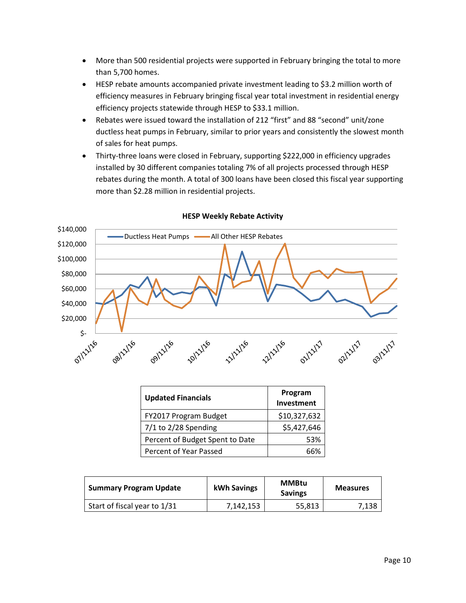- More than 500 residential projects were supported in February bringing the total to more than 5,700 homes.
- HESP rebate amounts accompanied private investment leading to \$3.2 million worth of efficiency measures in February bringing fiscal year total investment in residential energy efficiency projects statewide through HESP to \$33.1 million.
- Rebates were issued toward the installation of 212 "first" and 88 "second" unit/zone ductless heat pumps in February, similar to prior years and consistently the slowest month of sales for heat pumps.
- Thirty-three loans were closed in February, supporting \$222,000 in efficiency upgrades installed by 30 different companies totaling 7% of all projects processed through HESP rebates during the month. A total of 300 loans have been closed this fiscal year supporting more than \$2.28 million in residential projects.



#### **HESP Weekly Rebate Activity**

| <b>Updated Financials</b>       | Program<br>Investment |
|---------------------------------|-----------------------|
| FY2017 Program Budget           | \$10,327,632          |
| $7/1$ to 2/28 Spending          | \$5,427,646           |
| Percent of Budget Spent to Date | 53%                   |
| Percent of Year Passed          |                       |

| <b>Summary Program Update</b> | kWh Savings | <b>MMBtu</b><br><b>Savings</b> | <b>Measures</b> |
|-------------------------------|-------------|--------------------------------|-----------------|
| Start of fiscal year to 1/31  | 7,142,153   | 55,813                         | 7,138           |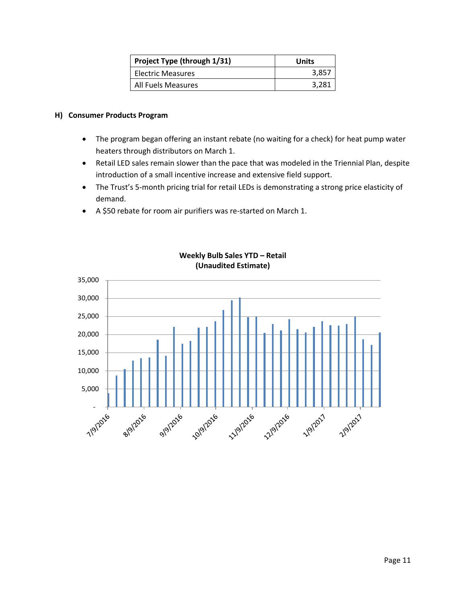| Project Type (through 1/31) | Units |
|-----------------------------|-------|
| <b>Electric Measures</b>    | 3,857 |
| All Fuels Measures          | 3,281 |

#### **H) Consumer Products Program**

- The program began offering an instant rebate (no waiting for a check) for heat pump water heaters through distributors on March 1.
- Retail LED sales remain slower than the pace that was modeled in the Triennial Plan, despite introduction of a small incentive increase and extensive field support.
- The Trust's 5-month pricing trial for retail LEDs is demonstrating a strong price elasticity of demand.
- A \$50 rebate for room air purifiers was re-started on March 1.



## **Weekly Bulb Sales YTD – Retail (Unaudited Estimate)**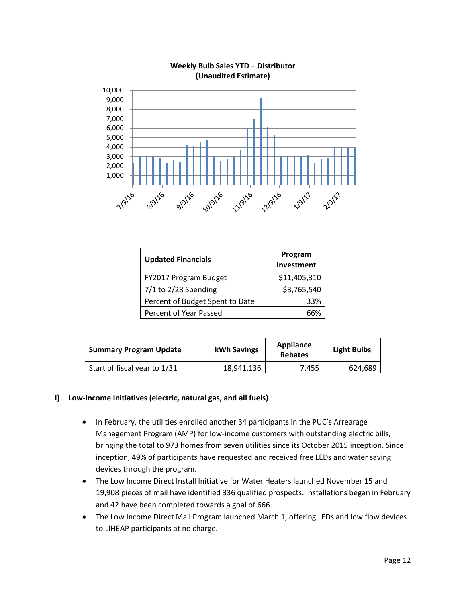

#### **Weekly Bulb Sales YTD – Distributor (Unaudited Estimate)**

| <b>Updated Financials</b>       | Program<br>Investment |
|---------------------------------|-----------------------|
| FY2017 Program Budget           | \$11,405,310          |
| $7/1$ to 2/28 Spending          | \$3,765,540           |
| Percent of Budget Spent to Date | 33%                   |
| Percent of Year Passed          |                       |

| <b>Summary Program Update</b> | kWh Savings | Appliance<br><b>Rebates</b> | <b>Light Bulbs</b> |
|-------------------------------|-------------|-----------------------------|--------------------|
| Start of fiscal year to 1/31  | 18.941.136  | 7.455                       | 624,689            |

#### **I) Low-Income Initiatives (electric, natural gas, and all fuels)**

- In February, the utilities enrolled another 34 participants in the PUC's Arrearage Management Program (AMP) for low-income customers with outstanding electric bills, bringing the total to 973 homes from seven utilities since its October 2015 inception. Since inception, 49% of participants have requested and received free LEDs and water saving devices through the program.
- The Low Income Direct Install Initiative for Water Heaters launched November 15 and 19,908 pieces of mail have identified 336 qualified prospects. Installations began in February and 42 have been completed towards a goal of 666.
- The Low Income Direct Mail Program launched March 1, offering LEDs and low flow devices to LIHEAP participants at no charge.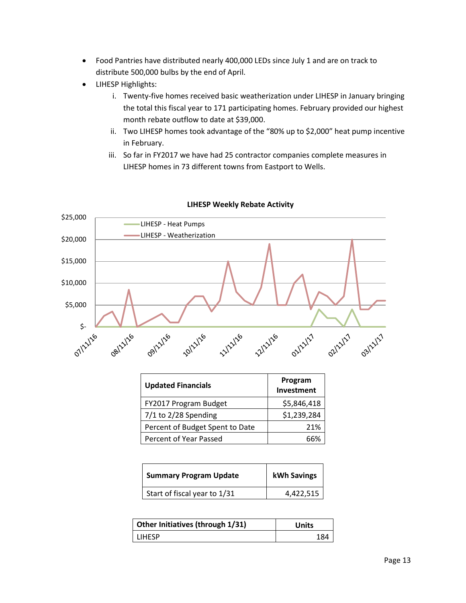- Food Pantries have distributed nearly 400,000 LEDs since July 1 and are on track to distribute 500,000 bulbs by the end of April.
- LIHESP Highlights:
	- i. Twenty-five homes received basic weatherization under LIHESP in January bringing the total this fiscal year to 171 participating homes. February provided our highest month rebate outflow to date at \$39,000.
	- ii. Two LIHESP homes took advantage of the "80% up to \$2,000" heat pump incentive in February.
	- iii. So far in FY2017 we have had 25 contractor companies complete measures in LIHESP homes in 73 different towns from Eastport to Wells.



## **LIHESP Weekly Rebate Activity**

| <b>Updated Financials</b>       | Program<br>Investment |
|---------------------------------|-----------------------|
| FY2017 Program Budget           | \$5,846,418           |
| $7/1$ to 2/28 Spending          | \$1,239,284           |
| Percent of Budget Spent to Date | 21%                   |
| Percent of Year Passed          |                       |

| <b>Summary Program Update</b> | <b>kWh Savings</b> |
|-------------------------------|--------------------|
| Start of fiscal year to 1/31  | 4,422,515          |

| Other Initiatives (through 1/31) | Units |
|----------------------------------|-------|
| <b>LIHFSP</b>                    | 184   |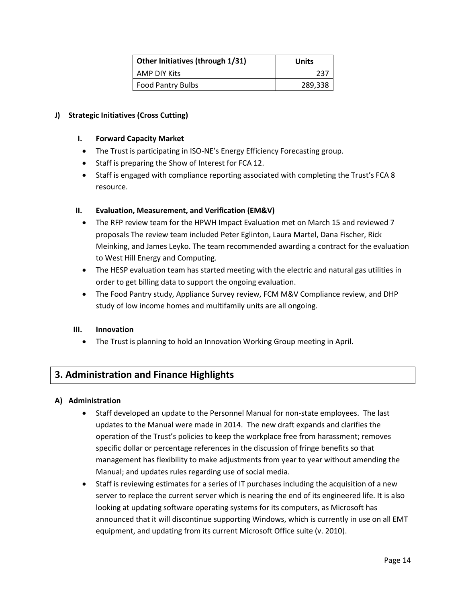| Other Initiatives (through 1/31) | Units   |
|----------------------------------|---------|
| AMP DIY Kits                     | 237     |
| <b>Food Pantry Bulbs</b>         | 289,338 |

## **J) Strategic Initiatives (Cross Cutting)**

#### **I. Forward Capacity Market**

- The Trust is participating in ISO-NE's Energy Efficiency Forecasting group.
- Staff is preparing the Show of Interest for FCA 12.
- Staff is engaged with compliance reporting associated with completing the Trust's FCA 8 resource.

#### **II. Evaluation, Measurement, and Verification (EM&V)**

- The RFP review team for the HPWH Impact Evaluation met on March 15 and reviewed 7 proposals The review team included Peter Eglinton, Laura Martel, Dana Fischer, Rick Meinking, and James Leyko. The team recommended awarding a contract for the evaluation to West Hill Energy and Computing.
- The HESP evaluation team has started meeting with the electric and natural gas utilities in order to get billing data to support the ongoing evaluation.
- The Food Pantry study, Appliance Survey review, FCM M&V Compliance review, and DHP study of low income homes and multifamily units are all ongoing.

#### **III. Innovation**

The Trust is planning to hold an Innovation Working Group meeting in April.

## **3. Administration and Finance Highlights**

#### **A) Administration**

- Staff developed an update to the Personnel Manual for non-state employees. The last updates to the Manual were made in 2014. The new draft expands and clarifies the operation of the Trust's policies to keep the workplace free from harassment; removes specific dollar or percentage references in the discussion of fringe benefits so that management has flexibility to make adjustments from year to year without amending the Manual; and updates rules regarding use of social media.
- Staff is reviewing estimates for a series of IT purchases including the acquisition of a new server to replace the current server which is nearing the end of its engineered life. It is also looking at updating software operating systems for its computers, as Microsoft has announced that it will discontinue supporting Windows, which is currently in use on all EMT equipment, and updating from its current Microsoft Office suite (v. 2010).